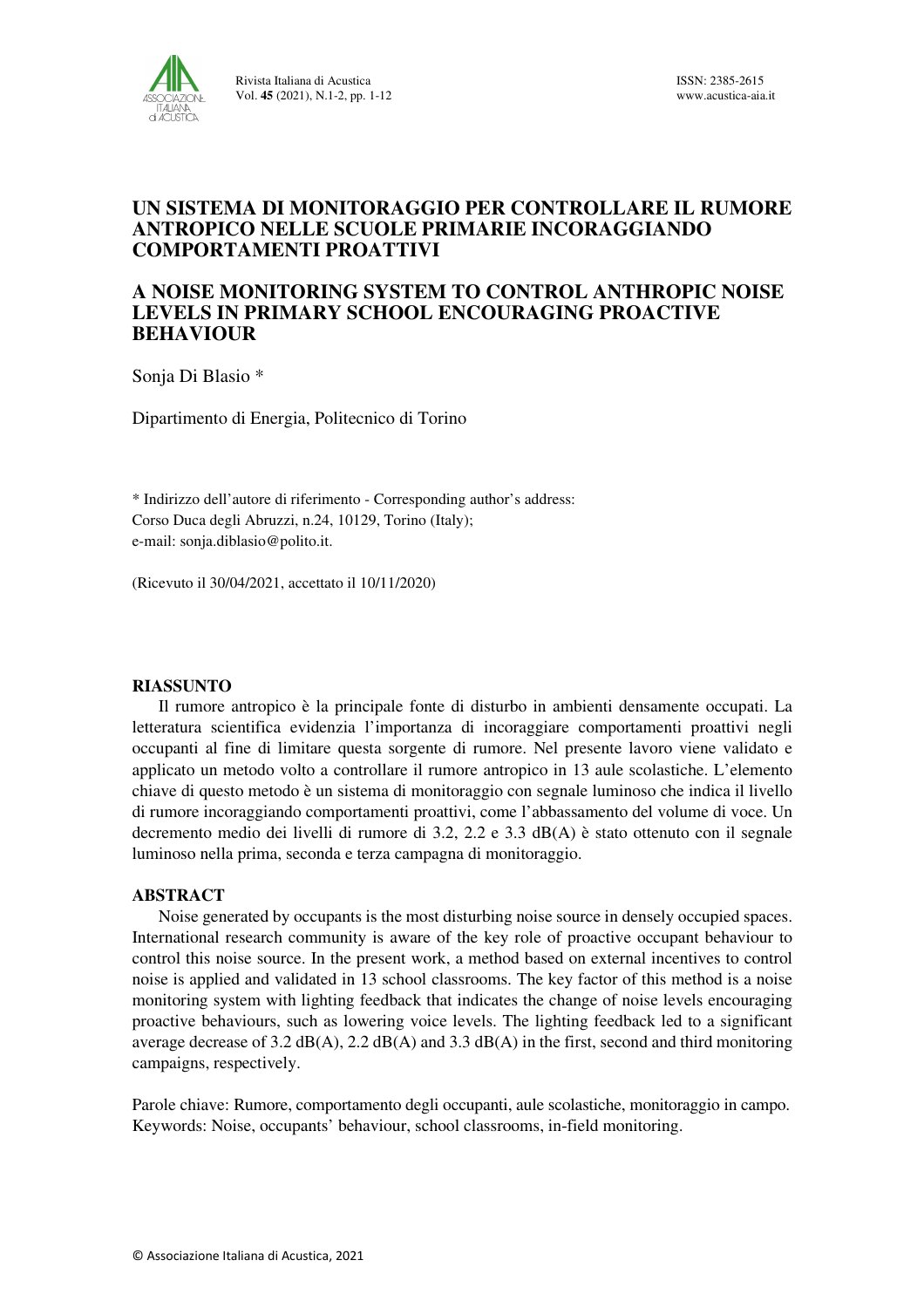

# **UN SISTEMA DI MONITORAGGIO PER CONTROLLARE IL RUMORE ANTROPICO NELLE SCUOLE PRIMARIE INCORAGGIANDO COMPORTAMENTI PROATTIVI**

## **A NOISE MONITORING SYSTEM TO CONTROL ANTHROPIC NOISE LEVELS IN PRIMARY SCHOOL ENCOURAGING PROACTIVE BEHAVIOUR**

Sonja Di Blasio \*

Dipartimento di Energia, Politecnico di Torino

\* Indirizzo dell'autore di riferimento - Corresponding author's address: Corso Duca degli Abruzzi, n.24, 10129, Torino (Italy); e-mail: sonja.diblasio@polito.it.

(Ricevuto il 30/04/2021, accettato il 10/11/2020)

## **RIASSUNTO**

Il rumore antropico è la principale fonte di disturbo in ambienti densamente occupati. La letteratura scientifica evidenzia l'importanza di incoraggiare comportamenti proattivi negli occupanti al fine di limitare questa sorgente di rumore. Nel presente lavoro viene validato e applicato un metodo volto a controllare il rumore antropico in 13 aule scolastiche. L'elemento chiave di questo metodo è un sistema di monitoraggio con segnale luminoso che indica il livello di rumore incoraggiando comportamenti proattivi, come l'abbassamento del volume di voce. Un decremento medio dei livelli di rumore di 3.2, 2.2 e 3.3 dB(A) è stato ottenuto con il segnale luminoso nella prima, seconda e terza campagna di monitoraggio.

## **ABSTRACT**

Noise generated by occupants is the most disturbing noise source in densely occupied spaces. International research community is aware of the key role of proactive occupant behaviour to control this noise source. In the present work, a method based on external incentives to control noise is applied and validated in 13 school classrooms. The key factor of this method is a noise monitoring system with lighting feedback that indicates the change of noise levels encouraging proactive behaviours, such as lowering voice levels. The lighting feedback led to a significant average decrease of 3.2  $dB(A)$ , 2.2  $dB(A)$  and 3.3  $dB(A)$  in the first, second and third monitoring campaigns, respectively.

Parole chiave: Rumore, comportamento degli occupanti, aule scolastiche, monitoraggio in campo. Keywords: Noise, occupants' behaviour, school classrooms, in-field monitoring.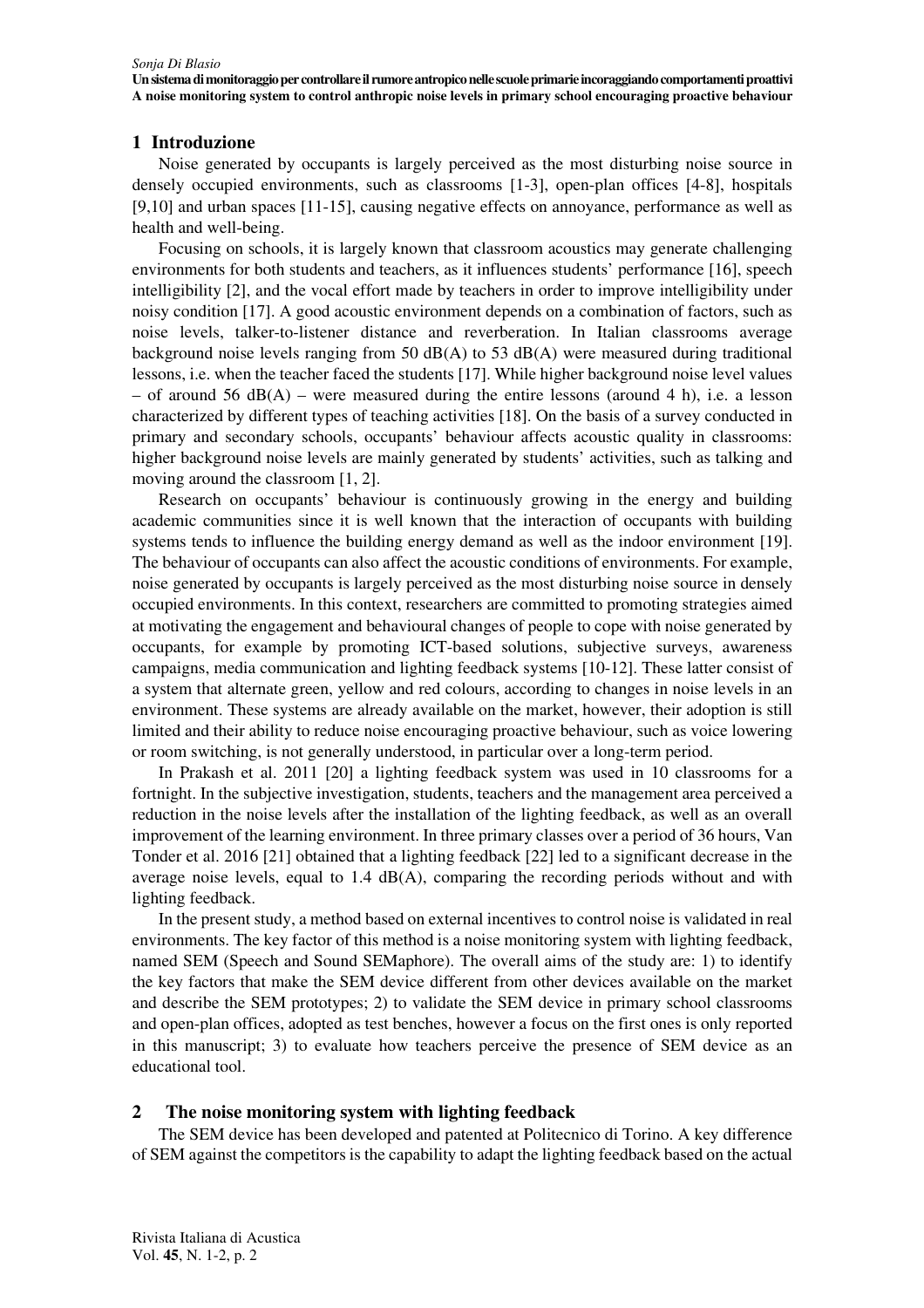## **1 Introduzione**

Noise generated by occupants is largely perceived as the most disturbing noise source in densely occupied environments, such as classrooms [1-3], open-plan offices [4-8], hospitals [9,10] and urban spaces [11-15], causing negative effects on annoyance, performance as well as health and well-being.

Focusing on schools, it is largely known that classroom acoustics may generate challenging environments for both students and teachers, as it influences students' performance [16], speech intelligibility [2], and the vocal effort made by teachers in order to improve intelligibility under noisy condition [17]. A good acoustic environment depends on a combination of factors, such as noise levels, talker-to-listener distance and reverberation. In Italian classrooms average background noise levels ranging from 50  $dB(A)$  to 53  $dB(A)$  were measured during traditional lessons, i.e. when the teacher faced the students [17]. While higher background noise level values – of around 56 dB(A) – were measured during the entire lessons (around 4 h), i.e. a lesson characterized by different types of teaching activities [18]. On the basis of a survey conducted in primary and secondary schools, occupants' behaviour affects acoustic quality in classrooms: higher background noise levels are mainly generated by students' activities, such as talking and moving around the classroom [1, 2].

Research on occupants' behaviour is continuously growing in the energy and building academic communities since it is well known that the interaction of occupants with building systems tends to influence the building energy demand as well as the indoor environment [19]. The behaviour of occupants can also affect the acoustic conditions of environments. For example, noise generated by occupants is largely perceived as the most disturbing noise source in densely occupied environments. In this context, researchers are committed to promoting strategies aimed at motivating the engagement and behavioural changes of people to cope with noise generated by occupants, for example by promoting ICT-based solutions, subjective surveys, awareness campaigns, media communication and lighting feedback systems [10-12]. These latter consist of a system that alternate green, yellow and red colours, according to changes in noise levels in an environment. These systems are already available on the market, however, their adoption is still limited and their ability to reduce noise encouraging proactive behaviour, such as voice lowering or room switching, is not generally understood, in particular over a long-term period.

In Prakash et al. 2011 [20] a lighting feedback system was used in 10 classrooms for a fortnight. In the subjective investigation, students, teachers and the management area perceived a reduction in the noise levels after the installation of the lighting feedback, as well as an overall improvement of the learning environment. In three primary classes over a period of 36 hours, Van Tonder et al. 2016 [21] obtained that a lighting feedback [22] led to a significant decrease in the average noise levels, equal to  $1.4$  dB(A), comparing the recording periods without and with lighting feedback.

In the present study, a method based on external incentives to control noise is validated in real environments. The key factor of this method is a noise monitoring system with lighting feedback, named SEM (Speech and Sound SEMaphore). The overall aims of the study are: 1) to identify the key factors that make the SEM device different from other devices available on the market and describe the SEM prototypes; 2) to validate the SEM device in primary school classrooms and open-plan offices, adopted as test benches, however a focus on the first ones is only reported in this manuscript; 3) to evaluate how teachers perceive the presence of SEM device as an educational tool.

## **2 The noise monitoring system with lighting feedback**

The SEM device has been developed and patented at Politecnico di Torino. A key difference of SEM against the competitors is the capability to adapt the lighting feedback based on the actual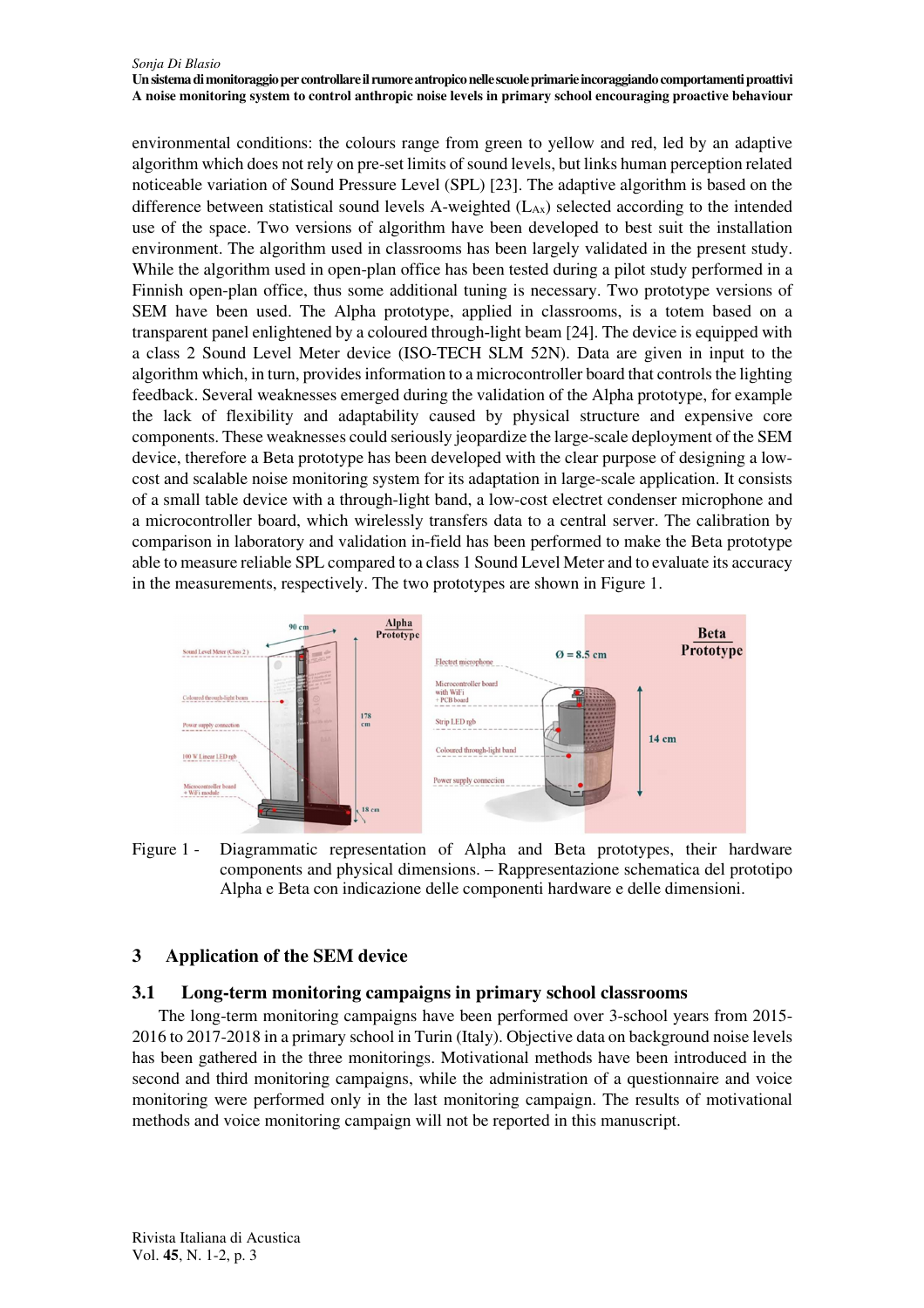environmental conditions: the colours range from green to yellow and red, led by an adaptive algorithm which does not rely on pre-set limits of sound levels, but links human perception related noticeable variation of Sound Pressure Level (SPL) [23]. The adaptive algorithm is based on the difference between statistical sound levels A-weighted  $(L_{AX})$  selected according to the intended use of the space. Two versions of algorithm have been developed to best suit the installation environment. The algorithm used in classrooms has been largely validated in the present study. While the algorithm used in open-plan office has been tested during a pilot study performed in a Finnish open-plan office, thus some additional tuning is necessary. Two prototype versions of SEM have been used. The Alpha prototype, applied in classrooms, is a totem based on a transparent panel enlightened by a coloured through‐light beam [24]. The device is equipped with a class 2 Sound Level Meter device (ISO-TECH SLM 52N). Data are given in input to the algorithm which, in turn, provides information to a microcontroller board that controls the lighting feedback. Several weaknesses emerged during the validation of the Alpha prototype, for example the lack of flexibility and adaptability caused by physical structure and expensive core components. These weaknesses could seriously jeopardize the large-scale deployment of the SEM device, therefore a Beta prototype has been developed with the clear purpose of designing a lowcost and scalable noise monitoring system for its adaptation in large-scale application. It consists of a small table device with a through-light band, a low-cost electret condenser microphone and a microcontroller board, which wirelessly transfers data to a central server. The calibration by comparison in laboratory and validation in-field has been performed to make the Beta prototype able to measure reliable SPL compared to a class 1 Sound Level Meter and to evaluate its accuracy in the measurements, respectively. The two prototypes are shown in Figure 1.



Figure 1 - Diagrammatic representation of Alpha and Beta prototypes, their hardware components and physical dimensions. – Rappresentazione schematica del prototipo Alpha e Beta con indicazione delle componenti hardware e delle dimensioni.

# **3 Application of the SEM device**

# **3.1 Long-term monitoring campaigns in primary school classrooms**

The long-term monitoring campaigns have been performed over 3-school years from 2015- 2016 to 2017-2018 in a primary school in Turin (Italy). Objective data on background noise levels has been gathered in the three monitorings. Motivational methods have been introduced in the second and third monitoring campaigns, while the administration of a questionnaire and voice monitoring were performed only in the last monitoring campaign. The results of motivational methods and voice monitoring campaign will not be reported in this manuscript.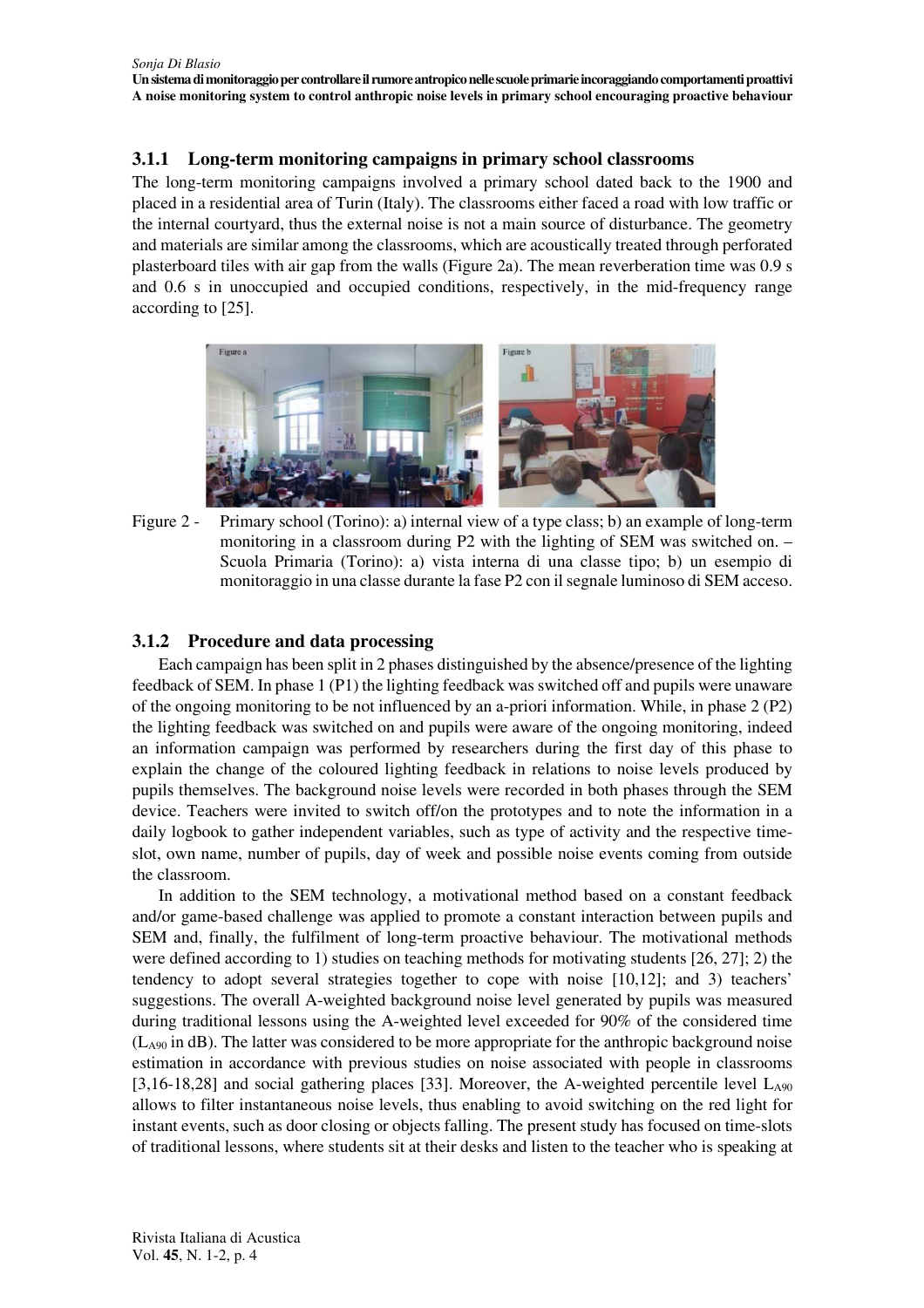## **3.1.1 Long-term monitoring campaigns in primary school classrooms**

The long-term monitoring campaigns involved a primary school dated back to the 1900 and placed in a residential area of Turin (Italy). The classrooms either faced a road with low traffic or the internal courtyard, thus the external noise is not a main source of disturbance. The geometry and materials are similar among the classrooms, which are acoustically treated through perforated plasterboard tiles with air gap from the walls (Figure 2a). The mean reverberation time was 0.9 s and 0.6 s in unoccupied and occupied conditions, respectively, in the mid-frequency range according to [25].



Figure 2 - Primary school (Torino): a) internal view of a type class; b) an example of long-term monitoring in a classroom during P2 with the lighting of SEM was switched on. – Scuola Primaria (Torino): a) vista interna di una classe tipo; b) un esempio di monitoraggio in una classe durante la fase P2 con il segnale luminoso di SEM acceso.

## **3.1.2 Procedure and data processing**

Each campaign has been split in 2 phases distinguished by the absence/presence of the lighting feedback of SEM. In phase 1 (P1) the lighting feedback was switched off and pupils were unaware of the ongoing monitoring to be not influenced by an a-priori information. While, in phase 2 (P2) the lighting feedback was switched on and pupils were aware of the ongoing monitoring, indeed an information campaign was performed by researchers during the first day of this phase to explain the change of the coloured lighting feedback in relations to noise levels produced by pupils themselves. The background noise levels were recorded in both phases through the SEM device. Teachers were invited to switch off/on the prototypes and to note the information in a daily logbook to gather independent variables, such as type of activity and the respective timeslot, own name, number of pupils, day of week and possible noise events coming from outside the classroom.

In addition to the SEM technology, a motivational method based on a constant feedback and/or game-based challenge was applied to promote a constant interaction between pupils and SEM and, finally, the fulfilment of long-term proactive behaviour. The motivational methods were defined according to 1) studies on teaching methods for motivating students [26, 27]; 2) the tendency to adopt several strategies together to cope with noise [10,12]; and 3) teachers' suggestions. The overall A-weighted background noise level generated by pupils was measured during traditional lessons using the A-weighted level exceeded for 90% of the considered time (LA90 in dB). The latter was considered to be more appropriate for the anthropic background noise estimation in accordance with previous studies on noise associated with people in classrooms [3,16-18,28] and social gathering places [33]. Moreover, the A-weighted percentile level  $L_{A90}$ allows to filter instantaneous noise levels, thus enabling to avoid switching on the red light for instant events, such as door closing or objects falling. The present study has focused on time-slots of traditional lessons, where students sit at their desks and listen to the teacher who is speaking at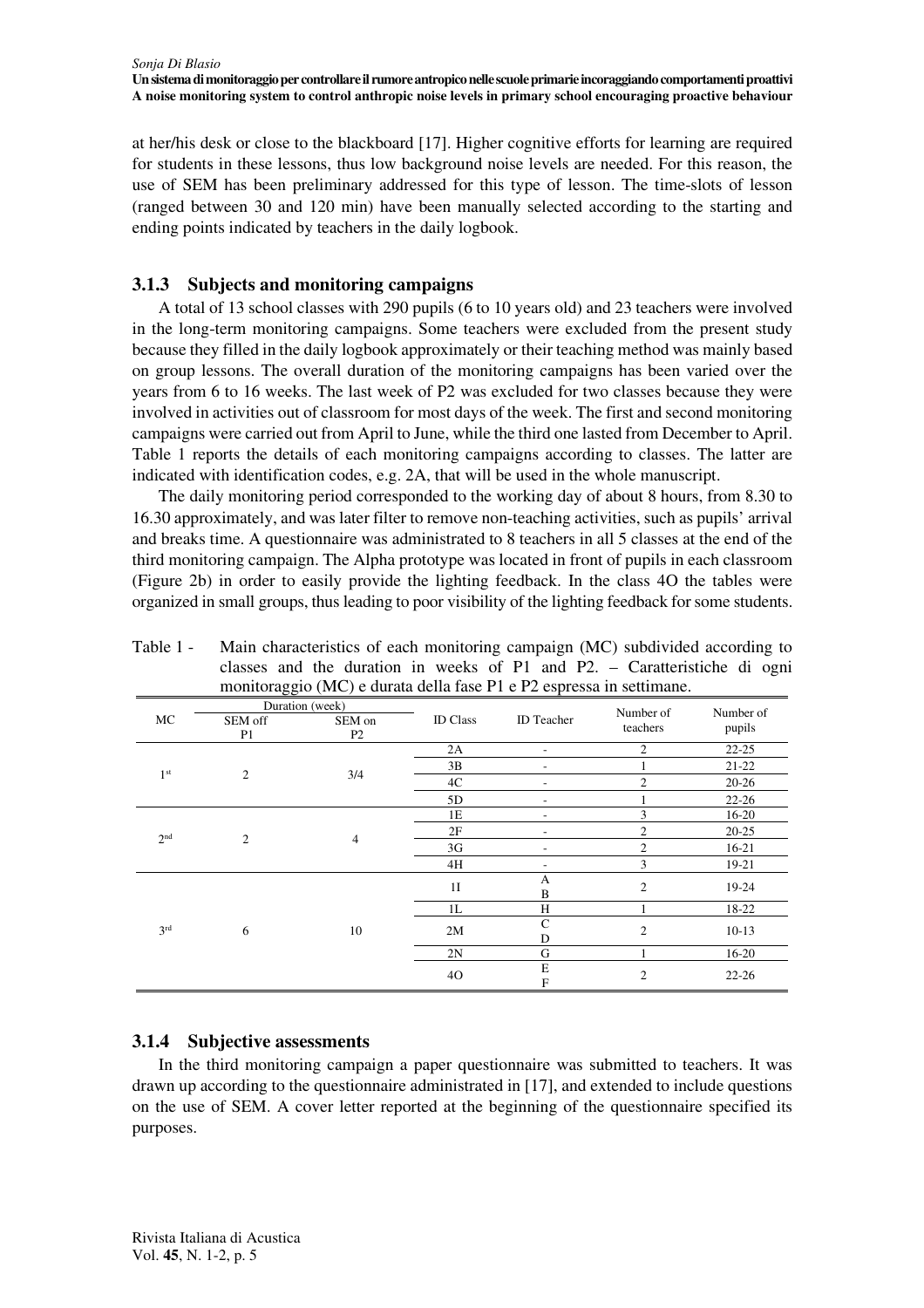at her/his desk or close to the blackboard [17]. Higher cognitive efforts for learning are required for students in these lessons, thus low background noise levels are needed. For this reason, the use of SEM has been preliminary addressed for this type of lesson. The time-slots of lesson (ranged between 30 and 120 min) have been manually selected according to the starting and ending points indicated by teachers in the daily logbook.

# **3.1.3 Subjects and monitoring campaigns**

A total of 13 school classes with 290 pupils (6 to 10 years old) and 23 teachers were involved in the long-term monitoring campaigns. Some teachers were excluded from the present study because they filled in the daily logbook approximately or their teaching method was mainly based on group lessons. The overall duration of the monitoring campaigns has been varied over the years from 6 to 16 weeks. The last week of P2 was excluded for two classes because they were involved in activities out of classroom for most days of the week. The first and second monitoring campaigns were carried out from April to June, while the third one lasted from December to April. Table 1 reports the details of each monitoring campaigns according to classes. The latter are indicated with identification codes, e.g. 2A, that will be used in the whole manuscript.

The daily monitoring period corresponded to the working day of about 8 hours, from 8.30 to 16.30 approximately, and was later filter to remove non-teaching activities, such as pupils' arrival and breaks time. A questionnaire was administrated to 8 teachers in all 5 classes at the end of the third monitoring campaign. The Alpha prototype was located in front of pupils in each classroom (Figure 2b) in order to easily provide the lighting feedback. In the class 4O the tables were organized in small groups, thus leading to poor visibility of the lighting feedback for some students.

|                 | Duration (week)           |                |                 |                          | Number of      |                     |  |
|-----------------|---------------------------|----------------|-----------------|--------------------------|----------------|---------------------|--|
| MC              | SEM off<br>P <sub>1</sub> | SEM on<br>P2   | <b>ID</b> Class | ID Teacher               | teachers       | Number of<br>pupils |  |
| 1 <sup>st</sup> | $\overline{2}$            | 3/4            | 2A              | $\overline{\phantom{a}}$ | $\overline{c}$ | $22 - 25$           |  |
|                 |                           |                | 3B              | ۰                        |                | $21 - 22$           |  |
|                 |                           |                | 4C              | ٠                        | $\overline{c}$ | $20 - 26$           |  |
|                 |                           |                | 5D              |                          |                | $22 - 26$           |  |
| 2 <sup>nd</sup> | $\overline{2}$            | $\overline{4}$ | 1E              | ۰                        | 3              | $16 - 20$           |  |
|                 |                           |                | 2F              |                          | $\overline{2}$ | $20 - 25$           |  |
|                 |                           |                | 3 <sub>G</sub>  |                          | $\overline{c}$ | $16 - 21$           |  |
|                 |                           |                | 4H              |                          | 3              | 19-21               |  |
| 3 <sup>rd</sup> | 6                         | 10             | 1I              | A<br>$\, {\bf B}$        | $\overline{2}$ | 19-24               |  |
|                 |                           |                | 1L              | H                        |                | 18-22               |  |
|                 |                           |                | 2M              | $\mathsf{C}$<br>D        | $\overline{c}$ | $10-13$             |  |
|                 |                           |                | 2N              | G                        |                | $16 - 20$           |  |
|                 |                           |                | 40              | E<br>F                   | $\overline{c}$ | $22 - 26$           |  |

Table 1 - Main characteristics of each monitoring campaign (MC) subdivided according to classes and the duration in weeks of P1 and P2. – Caratteristiche di ogni monitoraggio (MC) e durata della fase P1 e P2 espressa in settimane.

# **3.1.4 Subjective assessments**

In the third monitoring campaign a paper questionnaire was submitted to teachers. It was drawn up according to the questionnaire administrated in [17], and extended to include questions on the use of SEM. A cover letter reported at the beginning of the questionnaire specified its purposes.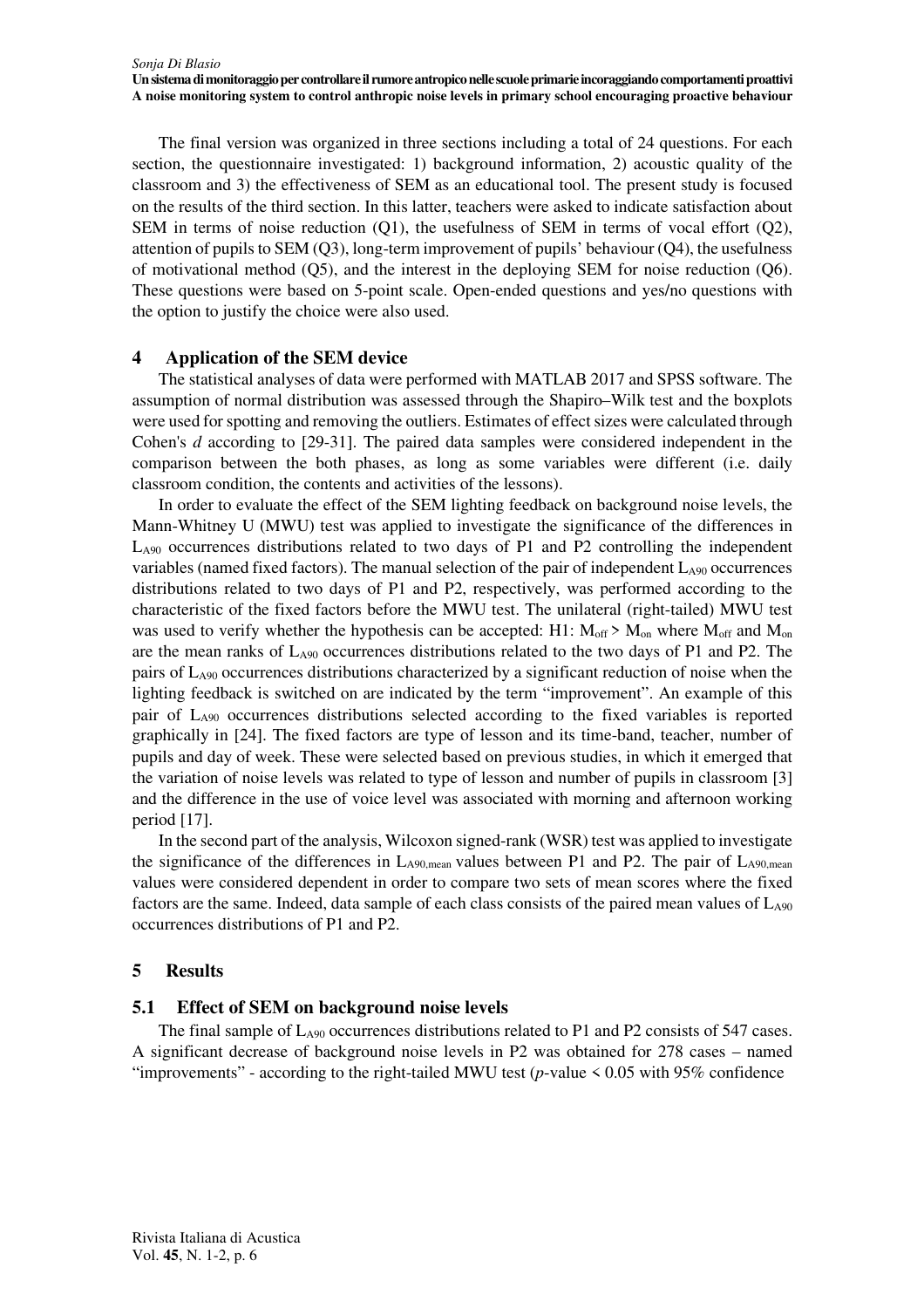The final version was organized in three sections including a total of 24 questions. For each section, the questionnaire investigated: 1) background information, 2) acoustic quality of the classroom and 3) the effectiveness of SEM as an educational tool. The present study is focused on the results of the third section. In this latter, teachers were asked to indicate satisfaction about SEM in terms of noise reduction (Q1), the usefulness of SEM in terms of vocal effort (Q2), attention of pupils to SEM (Q3), long-term improvement of pupils' behaviour (Q4), the usefulness of motivational method (Q5), and the interest in the deploying SEM for noise reduction (Q6). These questions were based on 5-point scale. Open-ended questions and yes/no questions with the option to justify the choice were also used.

## **4 Application of the SEM device**

The statistical analyses of data were performed with MATLAB 2017 and SPSS software. The assumption of normal distribution was assessed through the Shapiro–Wilk test and the boxplots were used for spotting and removing the outliers. Estimates of effect sizes were calculated through Cohen's *d* according to [29-31]. The paired data samples were considered independent in the comparison between the both phases, as long as some variables were different (i.e. daily classroom condition, the contents and activities of the lessons).

In order to evaluate the effect of the SEM lighting feedback on background noise levels, the Mann-Whitney U (MWU) test was applied to investigate the significance of the differences in LA90 occurrences distributions related to two days of P1 and P2 controlling the independent variables (named fixed factors). The manual selection of the pair of independent LA90 occurrences distributions related to two days of P1 and P2, respectively, was performed according to the characteristic of the fixed factors before the MWU test. The unilateral (right-tailed) MWU test was used to verify whether the hypothesis can be accepted: H1:  $M_{off} > M_{on}$  where  $M_{off}$  and  $M_{on}$ are the mean ranks of  $L_{A90}$  occurrences distributions related to the two days of P1 and P2. The pairs of  $L_{A90}$  occurrences distributions characterized by a significant reduction of noise when the lighting feedback is switched on are indicated by the term "improvement". An example of this pair of LA90 occurrences distributions selected according to the fixed variables is reported graphically in [24]. The fixed factors are type of lesson and its time-band, teacher, number of pupils and day of week. These were selected based on previous studies, in which it emerged that the variation of noise levels was related to type of lesson and number of pupils in classroom [3] and the difference in the use of voice level was associated with morning and afternoon working period [17].

In the second part of the analysis, Wilcoxon signed-rank (WSR) test was applied to investigate the significance of the differences in  $L_{A90,mean}$  values between P1 and P2. The pair of  $L_{A90,mean}$ values were considered dependent in order to compare two sets of mean scores where the fixed factors are the same. Indeed, data sample of each class consists of the paired mean values of LA90 occurrences distributions of P1 and P2.

## **5 Results**

## **5.1 Effect of SEM on background noise levels**

The final sample of  $L_{A90}$  occurrences distributions related to P1 and P2 consists of 547 cases. A significant decrease of background noise levels in P2 was obtained for 278 cases – named "improvements" - according to the right-tailed MWU test (*p*-value < 0.05 with 95% confidence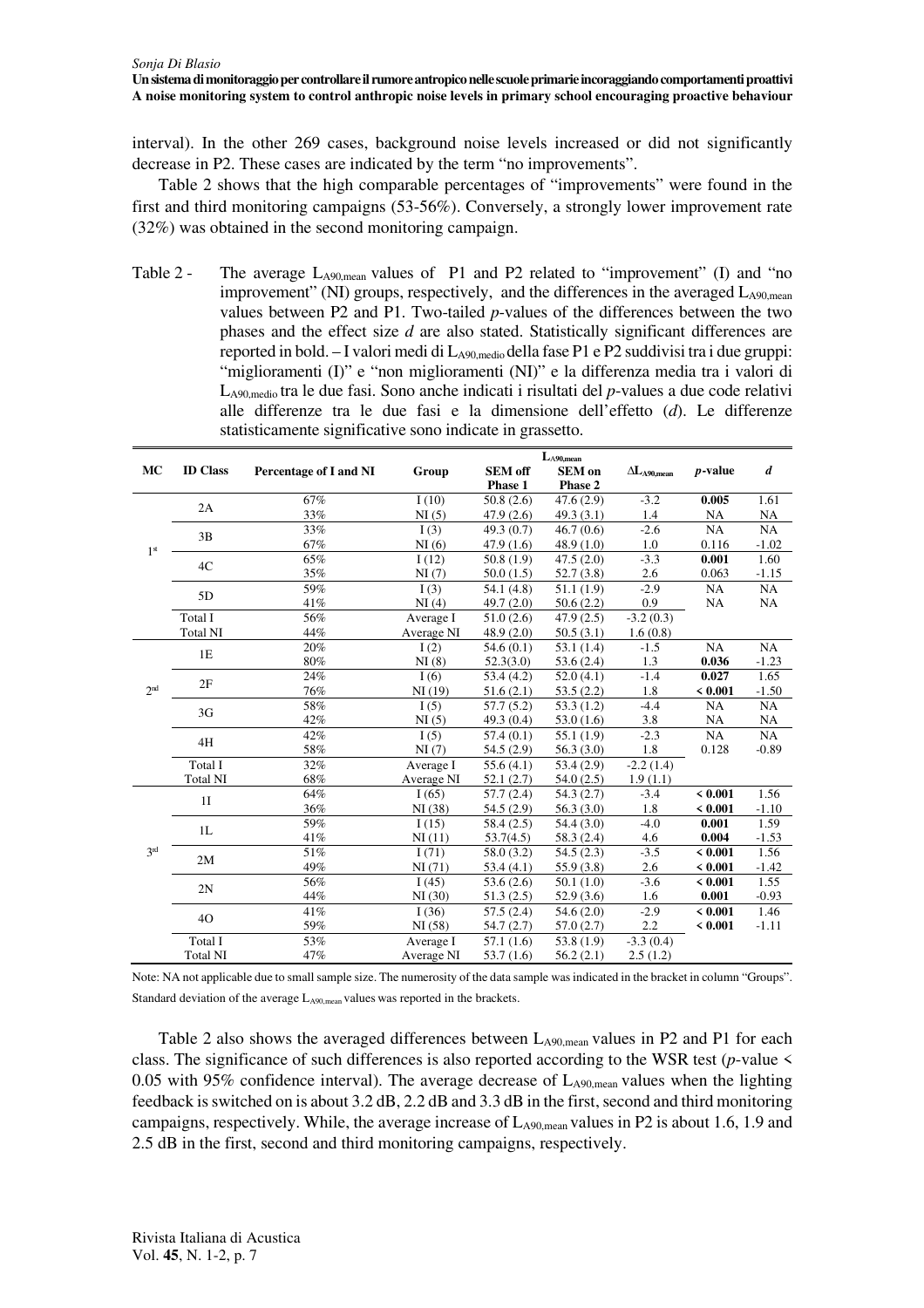interval). In the other 269 cases, background noise levels increased or did not significantly decrease in P2. These cases are indicated by the term "no improvements".

Table 2 shows that the high comparable percentages of "improvements" were found in the first and third monitoring campaigns (53-56%). Conversely, a strongly lower improvement rate (32%) was obtained in the second monitoring campaign.

Table 2 - The average  $L_{A90,\text{mean}}$  values of P1 and P2 related to "improvement" (I) and "no improvement" (NI) groups, respectively, and the differences in the averaged  $L_{A90,mean}$ values between P2 and P1. Two-tailed *p*-values of the differences between the two phases and the effect size *d* are also stated. Statistically significant differences are reported in bold. – I valori medi di  $L_{A90,medio}$  della fase P1 e P2 suddivisi tra i due gruppi: "miglioramenti (I)" e "non miglioramenti (NI)" e la differenza media tra i valori di LA90,medio tra le due fasi. Sono anche indicati i risultati del *p*-values a due code relativi alle differenze tra le due fasi e la dimensione dell'effetto (*d*). Le differenze statisticamente significative sono indicate in grassetto.

|                 |                 |                        |            | $L_{A90,mean}$ |                         |                       |             |                  |
|-----------------|-----------------|------------------------|------------|----------------|-------------------------|-----------------------|-------------|------------------|
| MC              | <b>ID</b> Class | Percentage of I and NI | Group      | <b>SEM</b> off | <b>SEM</b> on           | $\Delta L_{A90,mean}$ | $p$ -value  | $\boldsymbol{d}$ |
|                 |                 |                        |            | Phase 1        | Phase 2                 |                       |             |                  |
| 1 <sup>st</sup> | 2A              | 67%                    | I(10)      | 50.8(2.6)      | 47.6(2.9)               | $-3.2$                | 0.005       | 1.61             |
|                 |                 | 33%                    | NI(5)      | 47.9(2.6)      | 49.3(3.1)               | 1.4                   | <b>NA</b>   | <b>NA</b>        |
|                 | 3B              | 33%                    | I(3)       | 49.3(0.7)      | $\overline{46.7} (0.6)$ | $-2.6$                | NA          | NA               |
|                 |                 | 67%                    | NI(6)      | 47.9(1.6)      | 48.9(1.0)               | 1.0                   | 0.116       | $-1.02$          |
|                 | 4C              | 65%                    | I(12)      | 50.8(1.9)      | 47.5(2.0)               | $-3.3$                | 0.001       | 1.60             |
|                 |                 | 35%                    | NI(7)      | 50.0(1.5)      | 52.7(3.8)               | 2.6                   | 0.063       | $-1.15$          |
|                 | 5D              | 59%                    | I(3)       | 54.1(4.8)      | 51.1(1.9)               | $-2.9$                | NA          | NA               |
|                 |                 | 41%                    | NI(4)      | 49.7 (2.0)     | 50.6(2.2)               | 0.9                   | NA          | NA               |
|                 | Total I         | 56%                    | Average I  | 51.0(2.6)      | 47.9(2.5)               | $-3.2(0.3)$           |             |                  |
|                 | <b>Total NI</b> | 44%                    | Average NI | 48.9(2.0)      | 50.5(3.1)               | 1.6(0.8)              |             |                  |
| 2 <sub>nd</sub> | 1E              | 20%                    | I(2)       | 54.6(0.1)      | 53.1(1.4)               | $-1.5$                | NA          | NA               |
|                 |                 | 80%                    | NI(8)      | 52.3(3.0)      | 53.6(2.4)               | 1.3                   | 0.036       | $-1.23$          |
|                 | 2F              | 24%                    | I(6)       | 53.4(4.2)      | 52.0(4.1)               | $-1.4$                | 0.027       | 1.65             |
|                 |                 | 76%                    | NI(19)     | 51.6(2.1)      | 53.5(2.2)               | 1.8                   | < 0.001     | $-1.50$          |
|                 | 3G              | 58%                    | I(5)       | 57.7(5.2)      | 53.3(1.2)               | $-4.4$                | NA          | NA               |
|                 |                 | 42%                    | NI(5)      | 49.3(0.4)      | 53.0(1.6)               | 3.8                   | <b>NA</b>   | NA               |
|                 | 4H              | 42%                    | I(5)       | 57.4(0.1)      | 55.1(1.9)               | $-2.3$                | NA          | NA               |
|                 |                 | 58%                    | NI(7)      | 54.5(2.9)      | 56.3(3.0)               | 1.8                   | 0.128       | $-0.89$          |
|                 | Total I         | 32%                    | Average I  | 55.6 $(4.1)$   | 53.4(2.9)               | $-2.2(1.4)$           |             |                  |
|                 | <b>Total NI</b> | 68%                    | Average NI | 52.1(2.7)      | 54.0(2.5)               | 1.9(1.1)              |             |                  |
| 3 <sup>rd</sup> | 1I              | 64%                    | I(65)      | 57.7(2.4)      | 54.3(2.7)               | $-3.4$                | < 0.001     | 1.56             |
|                 |                 | 36%                    | NI(38)     | 54.5 (2.9)     | 56.3(3.0)               | 1.8                   | < 0.001     | $-1.10$          |
|                 | 1L              | 59%                    | I(15)      | 58.4(2.5)      | 54.4(3.0)               | $-4.0$                | 0.001       | 1.59             |
|                 |                 | 41%                    | NI(11)     | 53.7(4.5)      | 58.3 (2.4)              | 4.6                   | 0.004       | $-1.53$          |
|                 | 2M              | 51%                    | I(71)      | 58.0 (3.2)     | 54.5(2.3)               | $-3.5$                | ${}< 0.001$ | 1.56             |
|                 |                 | 49%                    | NI(71)     | 53.4(4.1)      | 55.9(3.8)               | 2.6                   | < 0.001     | $-1.42$          |
|                 | 2N              | 56%                    | I(45)      | 53.6(2.6)      | 50.1(1.0)               | $-3.6$                | < 0.001     | 1.55             |
|                 |                 | 44%                    | NI(30)     | 51.3(2.5)      | 52.9(3.6)               | 1.6                   | 0.001       | $-0.93$          |
|                 | 40              | 41%                    | I(36)      | 57.5(2.4)      | 54.6(2.0)               | $-2.9$                | < 0.001     | 1.46             |
|                 |                 | 59%                    | NI(58)     | 54.7(2.7)      | 57.0(2.7)               | 2.2                   | < 0.001     | $-1.11$          |
|                 | Total I         | 53%                    | Average I  | 57.1(1.6)      | 53.8(1.9)               | $-3.3(0.4)$           |             |                  |
|                 | <b>Total NI</b> | 47%                    | Average NI | 53.7(1.6)      | 56.2(2.1)               | 2.5(1.2)              |             |                  |

Note: NA not applicable due to small sample size. The numerosity of the data sample was indicated in the bracket in column "Groups". Standard deviation of the average  $L_{A90,mean}$  values was reported in the brackets.

Table 2 also shows the averaged differences between L<sub>A90,mean</sub> values in P2 and P1 for each class. The significance of such differences is also reported according to the WSR test (*p*-value < 0.05 with 95% confidence interval). The average decrease of  $L_{A90,mean}$  values when the lighting feedback is switched on is about 3.2 dB, 2.2 dB and 3.3 dB in the first, second and third monitoring campaigns, respectively. While, the average increase of  $L_{A90,mean}$  values in P2 is about 1.6, 1.9 and 2.5 dB in the first, second and third monitoring campaigns, respectively.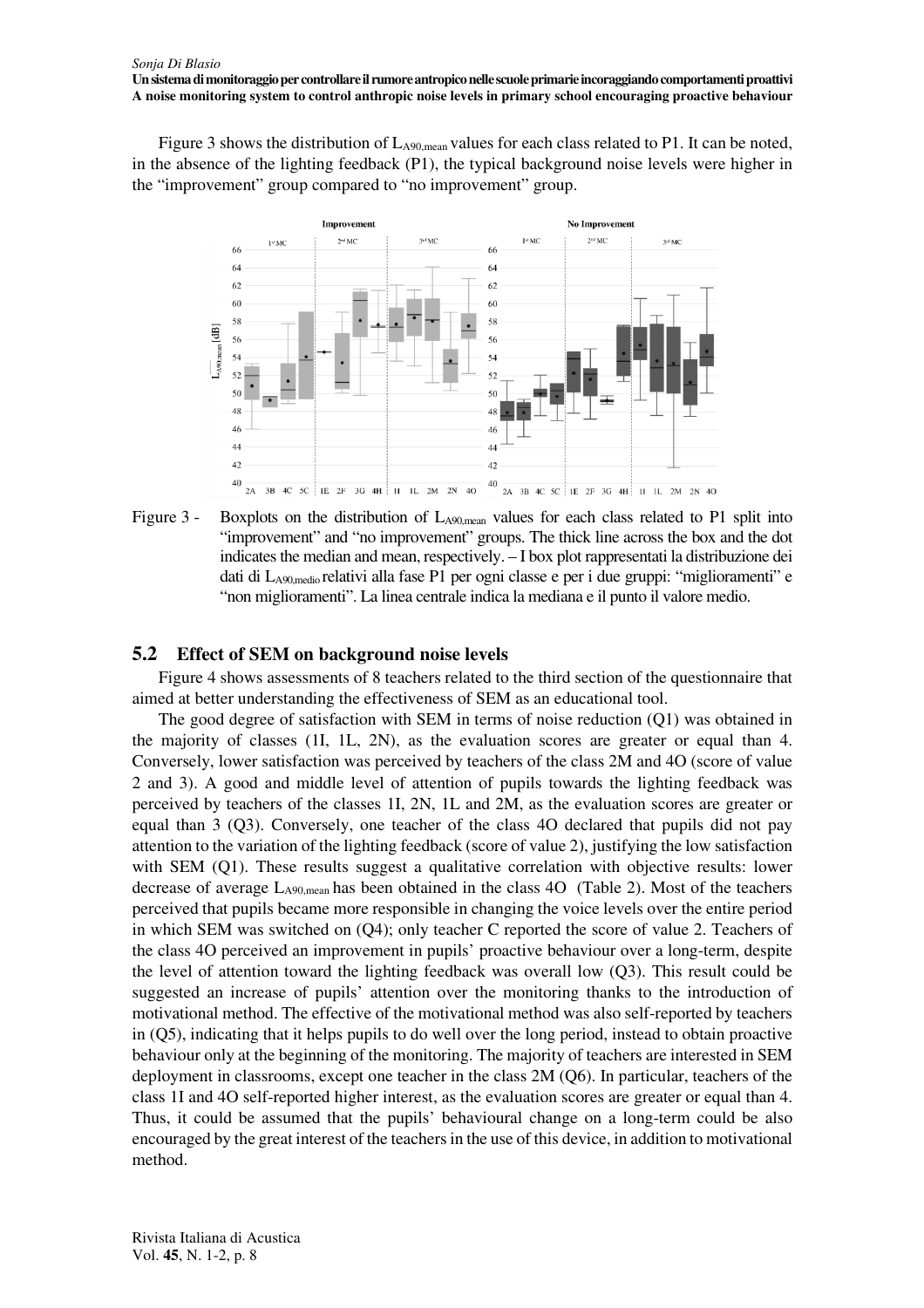Figure 3 shows the distribution of  $L_{A90,mean}$  values for each class related to P1. It can be noted, in the absence of the lighting feedback (P1), the typical background noise levels were higher in the "improvement" group compared to "no improvement" group.



Figure 3 - Boxplots on the distribution of  $L_{A90,mean}$  values for each class related to P1 split into "improvement" and "no improvement" groups. The thick line across the box and the dot indicates the median and mean, respectively. – I box plot rappresentati la distribuzione dei dati di LA90,medio relativi alla fase P1 per ogni classe e per i due gruppi: "miglioramenti" e "non miglioramenti". La linea centrale indica la mediana e il punto il valore medio.

#### **5.2 Effect of SEM on background noise levels**

Figure 4 shows assessments of 8 teachers related to the third section of the questionnaire that aimed at better understanding the effectiveness of SEM as an educational tool.

The good degree of satisfaction with SEM in terms of noise reduction (Q1) was obtained in the majority of classes (1I, 1L, 2N), as the evaluation scores are greater or equal than 4. Conversely, lower satisfaction was perceived by teachers of the class 2M and 4O (score of value 2 and 3). A good and middle level of attention of pupils towards the lighting feedback was perceived by teachers of the classes 1I, 2N, 1L and 2M, as the evaluation scores are greater or equal than 3 (Q3). Conversely, one teacher of the class 4O declared that pupils did not pay attention to the variation of the lighting feedback (score of value 2), justifying the low satisfaction with SEM (Q1). These results suggest a qualitative correlation with objective results: lower decrease of average LA90,mean has been obtained in the class 4O (Table 2). Most of the teachers perceived that pupils became more responsible in changing the voice levels over the entire period in which SEM was switched on (Q4); only teacher C reported the score of value 2. Teachers of the class 4O perceived an improvement in pupils' proactive behaviour over a long-term, despite the level of attention toward the lighting feedback was overall low (Q3). This result could be suggested an increase of pupils' attention over the monitoring thanks to the introduction of motivational method. The effective of the motivational method was also self-reported by teachers in (Q5), indicating that it helps pupils to do well over the long period, instead to obtain proactive behaviour only at the beginning of the monitoring. The majority of teachers are interested in SEM deployment in classrooms, except one teacher in the class 2M (Q6). In particular, teachers of the class 1I and 4O self-reported higher interest, as the evaluation scores are greater or equal than 4. Thus, it could be assumed that the pupils' behavioural change on a long-term could be also encouraged by the great interest of the teachers in the use of this device, in addition to motivational method.

Rivista Italiana di Acustica Vol. **45**, N. 1-2, p. 8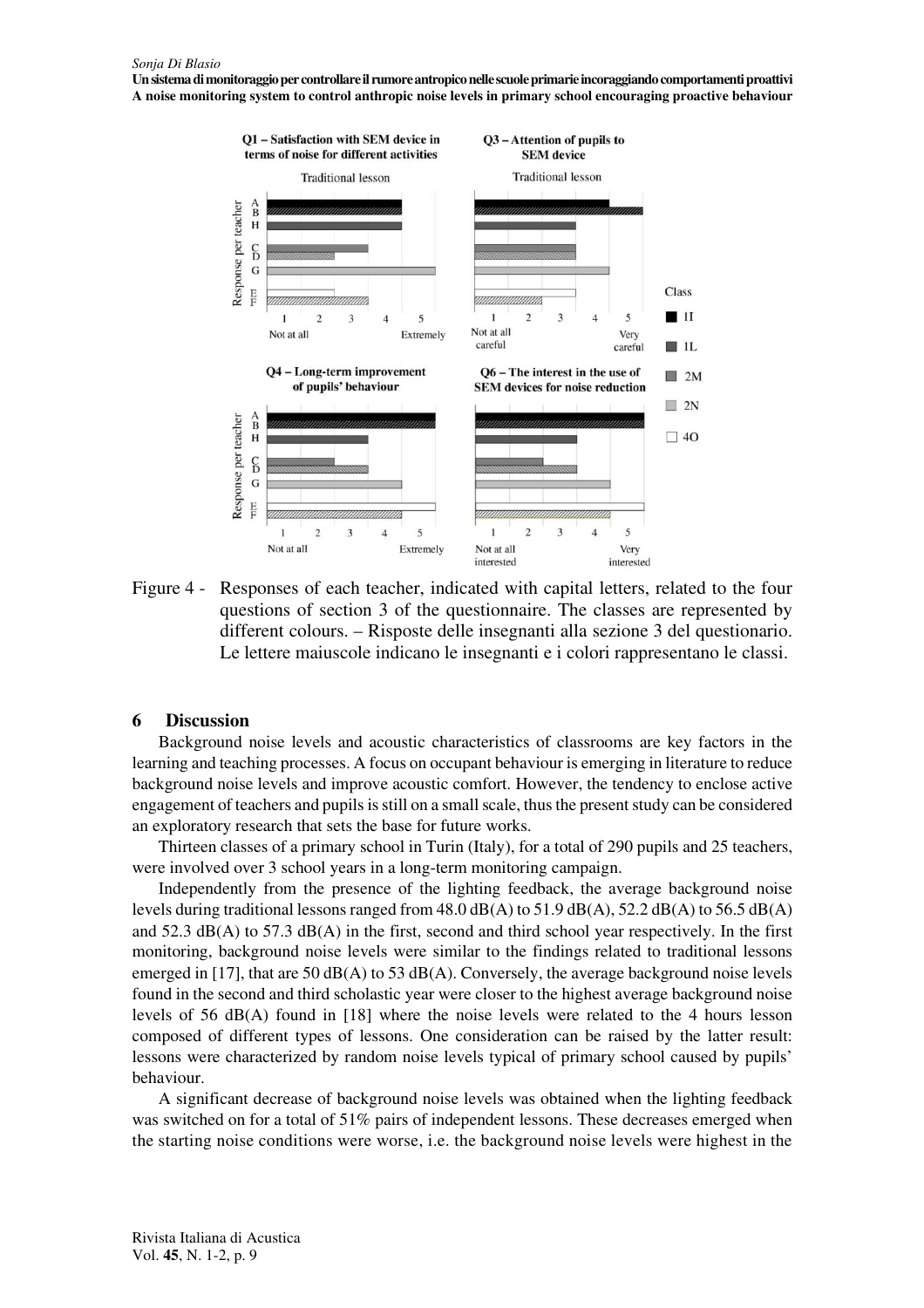

Figure 4 - Responses of each teacher, indicated with capital letters, related to the four questions of section 3 of the questionnaire. The classes are represented by different colours. – Risposte delle insegnanti alla sezione 3 del questionario. Le lettere maiuscole indicano le insegnanti e i colori rappresentano le classi.

#### **6 Discussion**

Background noise levels and acoustic characteristics of classrooms are key factors in the learning and teaching processes. A focus on occupant behaviour is emerging in literature to reduce background noise levels and improve acoustic comfort. However, the tendency to enclose active engagement of teachers and pupils is still on a small scale, thus the present study can be considered an exploratory research that sets the base for future works.

Thirteen classes of a primary school in Turin (Italy), for a total of 290 pupils and 25 teachers, were involved over 3 school years in a long-term monitoring campaign.

Independently from the presence of the lighting feedback, the average background noise levels during traditional lessons ranged from  $48.0 \text{ dB}(A)$  to  $51.9 \text{ dB}(A)$ ,  $52.2 \text{ dB}(A)$  to  $56.5 \text{ dB}(A)$ and 52.3 dB(A) to 57.3 dB(A) in the first, second and third school year respectively. In the first monitoring, background noise levels were similar to the findings related to traditional lessons emerged in [17], that are 50 dB(A) to 53 dB(A). Conversely, the average background noise levels found in the second and third scholastic year were closer to the highest average background noise levels of 56 dB(A) found in [18] where the noise levels were related to the 4 hours lesson composed of different types of lessons. One consideration can be raised by the latter result: lessons were characterized by random noise levels typical of primary school caused by pupils' behaviour.

A significant decrease of background noise levels was obtained when the lighting feedback was switched on for a total of 51% pairs of independent lessons. These decreases emerged when the starting noise conditions were worse, i.e. the background noise levels were highest in the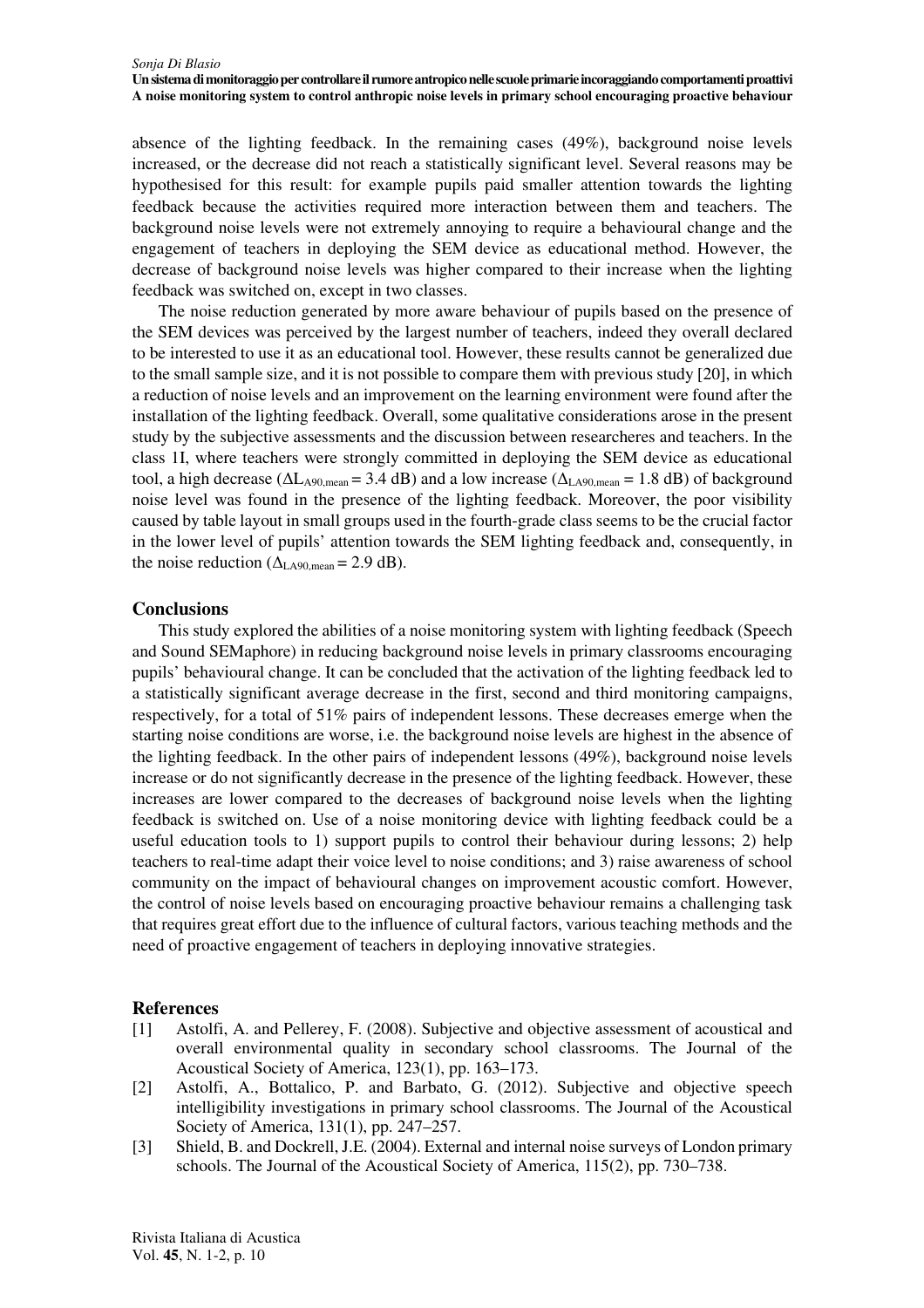absence of the lighting feedback. In the remaining cases (49%), background noise levels increased, or the decrease did not reach a statistically significant level. Several reasons may be hypothesised for this result: for example pupils paid smaller attention towards the lighting feedback because the activities required more interaction between them and teachers. The background noise levels were not extremely annoying to require a behavioural change and the engagement of teachers in deploying the SEM device as educational method. However, the decrease of background noise levels was higher compared to their increase when the lighting feedback was switched on, except in two classes.

The noise reduction generated by more aware behaviour of pupils based on the presence of the SEM devices was perceived by the largest number of teachers, indeed they overall declared to be interested to use it as an educational tool. However, these results cannot be generalized due to the small sample size, and it is not possible to compare them with previous study [20], in which a reduction of noise levels and an improvement on the learning environment were found after the installation of the lighting feedback. Overall, some qualitative considerations arose in the present study by the subjective assessments and the discussion between researcheres and teachers. In the class 1I, where teachers were strongly committed in deploying the SEM device as educational tool, a high decrease ( $\Delta L_{A90,mean} = 3.4$  dB) and a low increase ( $\Delta L_{A90,mean} = 1.8$  dB) of background noise level was found in the presence of the lighting feedback. Moreover, the poor visibility caused by table layout in small groups used in the fourth-grade class seems to be the crucial factor in the lower level of pupils' attention towards the SEM lighting feedback and, consequently, in the noise reduction ( $\Delta_{LA90,mean}$  = 2.9 dB).

## **Conclusions**

This study explored the abilities of a noise monitoring system with lighting feedback (Speech and Sound SEMaphore) in reducing background noise levels in primary classrooms encouraging pupils' behavioural change. It can be concluded that the activation of the lighting feedback led to a statistically significant average decrease in the first, second and third monitoring campaigns, respectively, for a total of 51% pairs of independent lessons. These decreases emerge when the starting noise conditions are worse, i.e. the background noise levels are highest in the absence of the lighting feedback. In the other pairs of independent lessons (49%), background noise levels increase or do not significantly decrease in the presence of the lighting feedback. However, these increases are lower compared to the decreases of background noise levels when the lighting feedback is switched on. Use of a noise monitoring device with lighting feedback could be a useful education tools to 1) support pupils to control their behaviour during lessons; 2) help teachers to real-time adapt their voice level to noise conditions; and 3) raise awareness of school community on the impact of behavioural changes on improvement acoustic comfort. However, the control of noise levels based on encouraging proactive behaviour remains a challenging task that requires great effort due to the influence of cultural factors, various teaching methods and the need of proactive engagement of teachers in deploying innovative strategies.

## **References**

- [1] Astolfi, A. and Pellerey, F. (2008). Subjective and objective assessment of acoustical and overall environmental quality in secondary school classrooms. The Journal of the Acoustical Society of America, 123(1), pp. 163–173.
- [2] Astolfi, A., Bottalico, P. and Barbato, G. (2012). Subjective and objective speech intelligibility investigations in primary school classrooms. The Journal of the Acoustical Society of America, 131(1), pp. 247–257.
- [3] Shield, B. and Dockrell, J.E. (2004). External and internal noise surveys of London primary schools. The Journal of the Acoustical Society of America, 115(2), pp. 730–738.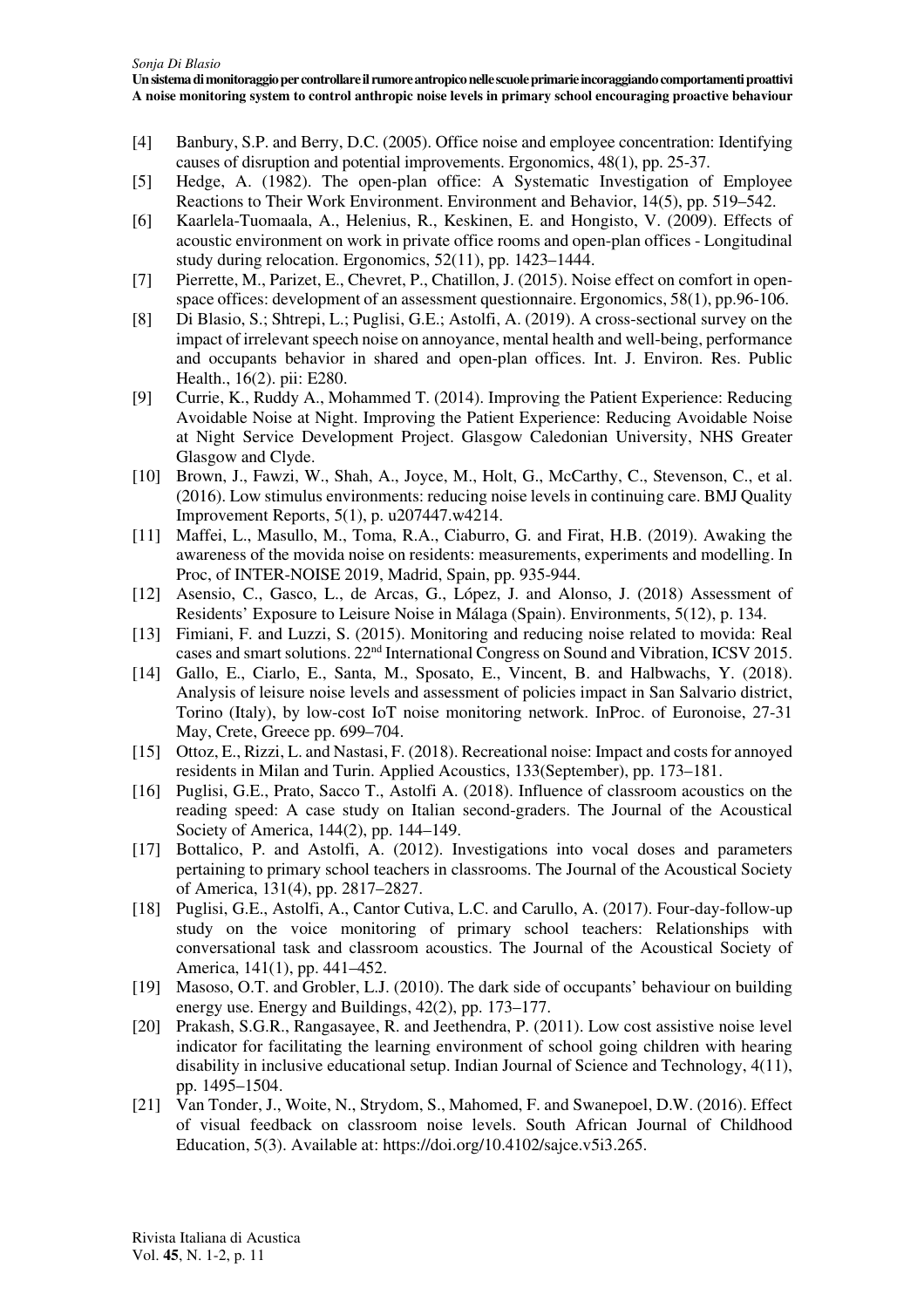- [4] Banbury, S.P. and Berry, D.C. (2005). Office noise and employee concentration: Identifying causes of disruption and potential improvements. Ergonomics, 48(1), pp. 25-37.
- [5] Hedge, A. (1982). The open-plan office: A Systematic Investigation of Employee Reactions to Their Work Environment. Environment and Behavior, 14(5), pp. 519–542.
- [6] Kaarlela-Tuomaala, A., Helenius, R., Keskinen, E. and Hongisto, V. (2009). Effects of acoustic environment on work in private office rooms and open-plan offices - Longitudinal study during relocation. Ergonomics, 52(11), pp. 1423–1444.
- [7] Pierrette, M., Parizet, E., Chevret, P., Chatillon, J. (2015). Noise effect on comfort in openspace offices: development of an assessment questionnaire. Ergonomics, 58(1), pp.96-106.
- [8] Di Blasio, S.; Shtrepi, L.; Puglisi, G.E.; Astolfi, A. (2019). A cross-sectional survey on the impact of irrelevant speech noise on annoyance, mental health and well-being, performance and occupants behavior in shared and open-plan offices. Int. J. Environ. Res. Public Health., 16(2). pii: E280.
- [9] Currie, K., Ruddy A., Mohammed T. (2014). Improving the Patient Experience: Reducing Avoidable Noise at Night. Improving the Patient Experience: Reducing Avoidable Noise at Night Service Development Project. Glasgow Caledonian University, NHS Greater Glasgow and Clyde.
- [10] Brown, J., Fawzi, W., Shah, A., Joyce, M., Holt, G., McCarthy, C., Stevenson, C., et al. (2016). Low stimulus environments: reducing noise levels in continuing care. BMJ Quality Improvement Reports, 5(1), p. u207447.w4214.
- [11] Maffei, L., Masullo, M., Toma, R.A., Ciaburro, G. and Firat, H.B. (2019). Awaking the awareness of the movida noise on residents: measurements, experiments and modelling. In Proc, of INTER-NOISE 2019, Madrid, Spain, pp. 935-944.
- [12] Asensio, C., Gasco, L., de Arcas, G., López, J. and Alonso, J. (2018) Assessment of Residents' Exposure to Leisure Noise in Málaga (Spain). Environments, 5(12), p. 134.
- [13] Fimiani, F. and Luzzi, S. (2015). Monitoring and reducing noise related to movida: Real cases and smart solutions. 22nd International Congress on Sound and Vibration, ICSV 2015.
- [14] Gallo, E., Ciarlo, E., Santa, M., Sposato, E., Vincent, B. and Halbwachs, Y. (2018). Analysis of leisure noise levels and assessment of policies impact in San Salvario district, Torino (Italy), by low-cost IoT noise monitoring network. InProc. of Euronoise, 27-31 May, Crete, Greece pp. 699–704.
- [15] Ottoz, E., Rizzi, L. and Nastasi, F. (2018). Recreational noise: Impact and costs for annoyed residents in Milan and Turin. Applied Acoustics, 133(September), pp. 173–181.
- [16] Puglisi, G.E., Prato, Sacco T., Astolfi A. (2018). Influence of classroom acoustics on the reading speed: A case study on Italian second-graders. The Journal of the Acoustical Society of America, 144(2), pp. 144–149.
- [17] Bottalico, P. and Astolfi, A. (2012). Investigations into vocal doses and parameters pertaining to primary school teachers in classrooms. The Journal of the Acoustical Society of America, 131(4), pp. 2817–2827.
- [18] Puglisi, G.E., Astolfi, A., Cantor Cutiva, L.C. and Carullo, A. (2017). Four-day-follow-up study on the voice monitoring of primary school teachers: Relationships with conversational task and classroom acoustics. The Journal of the Acoustical Society of America, 141(1), pp. 441–452.
- [19] Masoso, O.T. and Grobler, L.J. (2010). The dark side of occupants' behaviour on building energy use. Energy and Buildings, 42(2), pp. 173–177.
- [20] Prakash, S.G.R., Rangasayee, R. and Jeethendra, P. (2011). Low cost assistive noise level indicator for facilitating the learning environment of school going children with hearing disability in inclusive educational setup. Indian Journal of Science and Technology, 4(11), pp. 1495–1504.
- [21] Van Tonder, J., Woite, N., Strydom, S., Mahomed, F. and Swanepoel, D.W. (2016). Effect of visual feedback on classroom noise levels. South African Journal of Childhood Education, 5(3). Available at: https://doi.org/10.4102/sajce.v5i3.265.